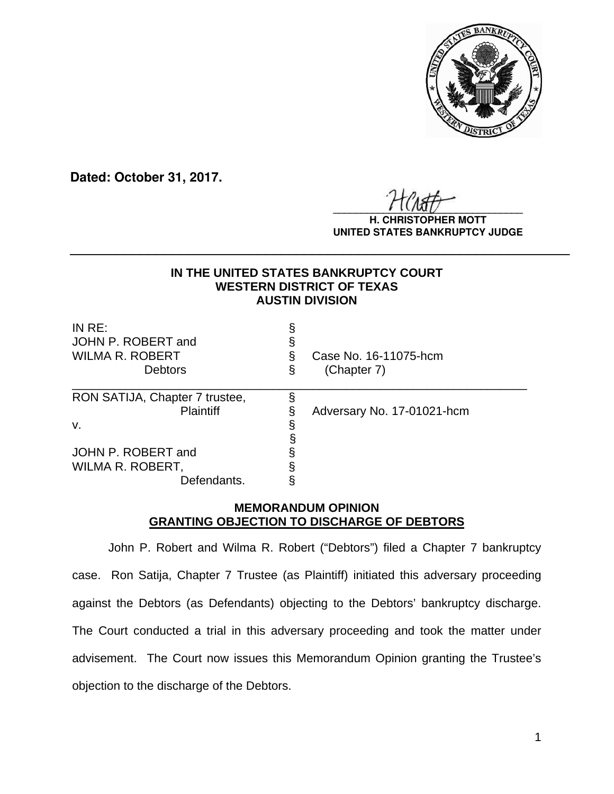

**Dated: October 31, 2017.**

 $\frac{1}{2}$ 

**H. CHRISTOPHER MOTT UNITED STATES BANKRUPTCY JUDGE**

# **IN THE UNITED STATES BANKRUPTCY COURT WESTERN DISTRICT OF TEXAS AUSTIN DIVISION**

**\_\_\_\_\_\_\_\_\_\_\_\_\_\_\_\_\_\_\_\_\_\_\_\_\_\_\_\_\_\_\_\_\_\_\_\_\_\_\_\_\_\_\_\_\_\_\_\_\_\_\_\_\_\_\_\_\_\_\_\_\_\_\_\_**

| $INRE$ :                       |                            |  |
|--------------------------------|----------------------------|--|
| JOHN P. ROBERT and             |                            |  |
| <b>WILMA R. ROBERT</b>         | Case No. 16-11075-hcm      |  |
| <b>Debtors</b>                 | (Chapter 7)                |  |
| RON SATIJA, Chapter 7 trustee, |                            |  |
| <b>Plaintiff</b>               | Adversary No. 17-01021-hcm |  |
| v.                             |                            |  |
|                                |                            |  |
| JOHN P. ROBERT and             |                            |  |
| WILMA R. ROBERT,               |                            |  |
| Defendants.                    |                            |  |

## **MEMORANDUM OPINION GRANTING OBJECTION TO DISCHARGE OF DEBTORS**

 John P. Robert and Wilma R. Robert ("Debtors") filed a Chapter 7 bankruptcy case. Ron Satija, Chapter 7 Trustee (as Plaintiff) initiated this adversary proceeding against the Debtors (as Defendants) objecting to the Debtors' bankruptcy discharge. The Court conducted a trial in this adversary proceeding and took the matter under advisement. The Court now issues this Memorandum Opinion granting the Trustee's objection to the discharge of the Debtors.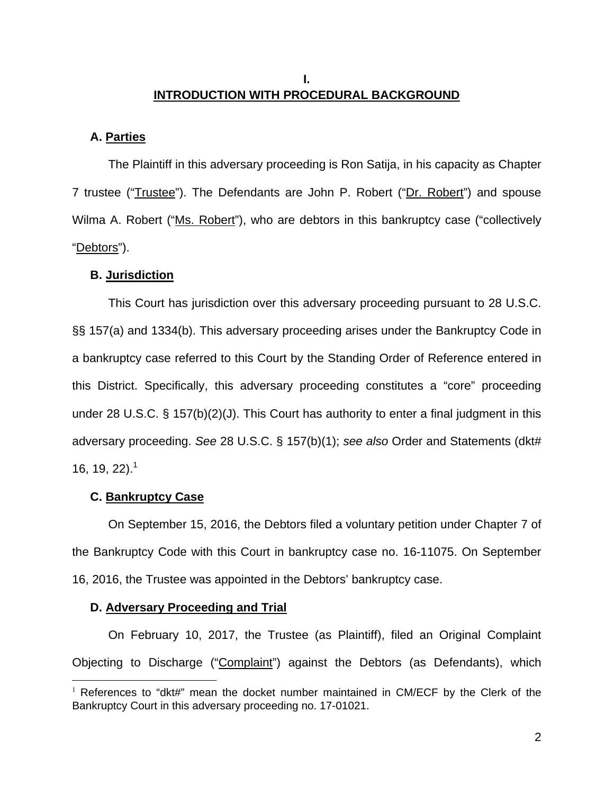**I. INTRODUCTION WITH PROCEDURAL BACKGROUND** 

### **A. Parties**

The Plaintiff in this adversary proceeding is Ron Satija, in his capacity as Chapter 7 trustee ("Trustee"). The Defendants are John P. Robert ("Dr. Robert") and spouse Wilma A. Robert ("Ms. Robert"), who are debtors in this bankruptcy case ("collectively "Debtors").

#### **B. Jurisdiction**

This Court has jurisdiction over this adversary proceeding pursuant to 28 U.S.C. §§ 157(a) and 1334(b). This adversary proceeding arises under the Bankruptcy Code in a bankruptcy case referred to this Court by the Standing Order of Reference entered in this District. Specifically, this adversary proceeding constitutes a "core" proceeding under 28 U.S.C. § 157(b)(2)(J). This Court has authority to enter a final judgment in this adversary proceeding. *See* 28 U.S.C. § 157(b)(1); *see also* Order and Statements (dkt# 16, 19, 22).<sup>1</sup>

### **C. Bankruptcy Case**

 $\overline{a}$ 

On September 15, 2016, the Debtors filed a voluntary petition under Chapter 7 of the Bankruptcy Code with this Court in bankruptcy case no. 16-11075. On September 16, 2016, the Trustee was appointed in the Debtors' bankruptcy case.

#### **D. Adversary Proceeding and Trial**

On February 10, 2017, the Trustee (as Plaintiff), filed an Original Complaint Objecting to Discharge ("Complaint") against the Debtors (as Defendants), which

 $1$  References to "dkt#" mean the docket number maintained in CM/ECF by the Clerk of the Bankruptcy Court in this adversary proceeding no. 17-01021.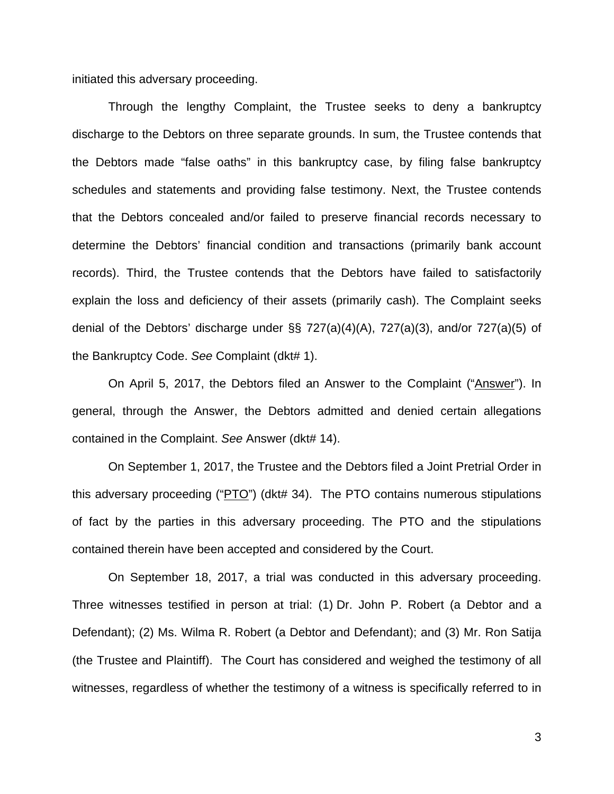initiated this adversary proceeding.

Through the lengthy Complaint, the Trustee seeks to deny a bankruptcy discharge to the Debtors on three separate grounds. In sum, the Trustee contends that the Debtors made "false oaths" in this bankruptcy case, by filing false bankruptcy schedules and statements and providing false testimony. Next, the Trustee contends that the Debtors concealed and/or failed to preserve financial records necessary to determine the Debtors' financial condition and transactions (primarily bank account records). Third, the Trustee contends that the Debtors have failed to satisfactorily explain the loss and deficiency of their assets (primarily cash). The Complaint seeks denial of the Debtors' discharge under §§ 727(a)(4)(A), 727(a)(3), and/or 727(a)(5) of the Bankruptcy Code. *See* Complaint (dkt# 1).

 On April 5, 2017, the Debtors filed an Answer to the Complaint ("Answer"). In general, through the Answer, the Debtors admitted and denied certain allegations contained in the Complaint. *See* Answer (dkt# 14).

On September 1, 2017, the Trustee and the Debtors filed a Joint Pretrial Order in this adversary proceeding ("PTO") (dkt# 34). The PTO contains numerous stipulations of fact by the parties in this adversary proceeding. The PTO and the stipulations contained therein have been accepted and considered by the Court.

On September 18, 2017, a trial was conducted in this adversary proceeding. Three witnesses testified in person at trial: (1) Dr. John P. Robert (a Debtor and a Defendant); (2) Ms. Wilma R. Robert (a Debtor and Defendant); and (3) Mr. Ron Satija (the Trustee and Plaintiff). The Court has considered and weighed the testimony of all witnesses, regardless of whether the testimony of a witness is specifically referred to in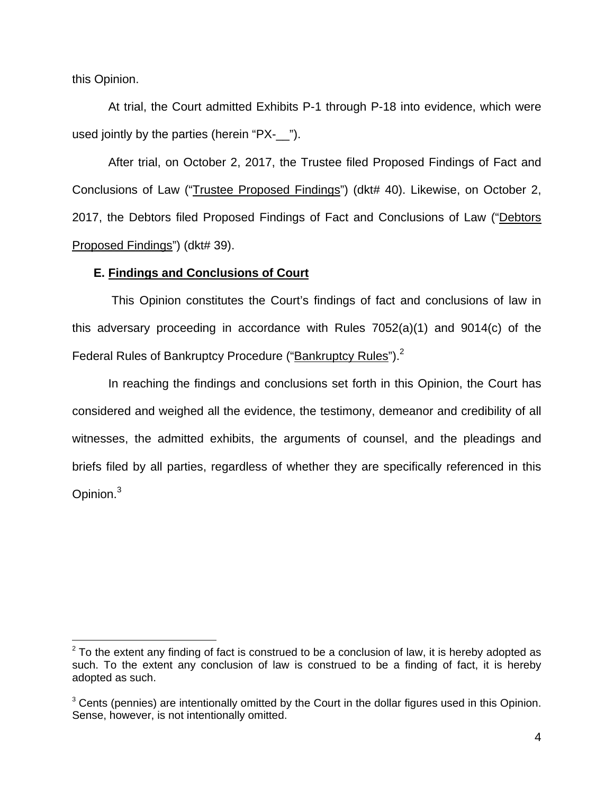this Opinion.

 $\overline{a}$ 

At trial, the Court admitted Exhibits P-1 through P-18 into evidence, which were used jointly by the parties (herein "PX- ").

After trial, on October 2, 2017, the Trustee filed Proposed Findings of Fact and Conclusions of Law ("Trustee Proposed Findings") (dkt# 40). Likewise, on October 2, 2017, the Debtors filed Proposed Findings of Fact and Conclusions of Law ("Debtors Proposed Findings") (dkt# 39).

### **E. Findings and Conclusions of Court**

 This Opinion constitutes the Court's findings of fact and conclusions of law in this adversary proceeding in accordance with Rules 7052(a)(1) and 9014(c) of the Federal Rules of Bankruptcy Procedure ("Bankruptcy Rules").<sup>2</sup>

In reaching the findings and conclusions set forth in this Opinion, the Court has considered and weighed all the evidence, the testimony, demeanor and credibility of all witnesses, the admitted exhibits, the arguments of counsel, and the pleadings and briefs filed by all parties, regardless of whether they are specifically referenced in this Opinion.<sup>3</sup>

 $2$  To the extent any finding of fact is construed to be a conclusion of law, it is hereby adopted as such. To the extent any conclusion of law is construed to be a finding of fact, it is hereby adopted as such.

<sup>&</sup>lt;sup>3</sup> Cents (pennies) are intentionally omitted by the Court in the dollar figures used in this Opinion. Sense, however, is not intentionally omitted.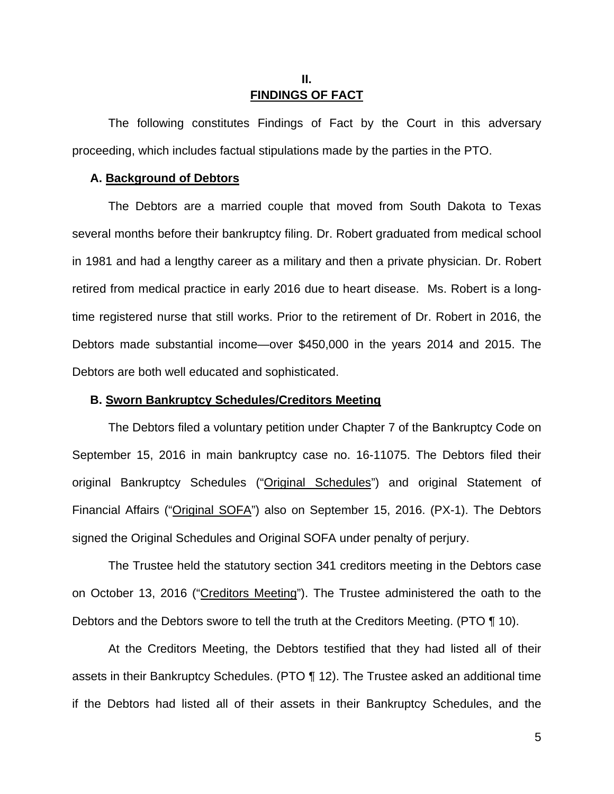### **II. FINDINGS OF FACT**

The following constitutes Findings of Fact by the Court in this adversary proceeding, which includes factual stipulations made by the parties in the PTO.

### **A. Background of Debtors**

The Debtors are a married couple that moved from South Dakota to Texas several months before their bankruptcy filing. Dr. Robert graduated from medical school in 1981 and had a lengthy career as a military and then a private physician. Dr. Robert retired from medical practice in early 2016 due to heart disease. Ms. Robert is a longtime registered nurse that still works. Prior to the retirement of Dr. Robert in 2016, the Debtors made substantial income—over \$450,000 in the years 2014 and 2015. The Debtors are both well educated and sophisticated.

#### **B. Sworn Bankruptcy Schedules/Creditors Meeting**

The Debtors filed a voluntary petition under Chapter 7 of the Bankruptcy Code on September 15, 2016 in main bankruptcy case no. 16-11075. The Debtors filed their original Bankruptcy Schedules ("Original Schedules") and original Statement of Financial Affairs ("Original SOFA") also on September 15, 2016. (PX-1). The Debtors signed the Original Schedules and Original SOFA under penalty of perjury.

The Trustee held the statutory section 341 creditors meeting in the Debtors case on October 13, 2016 ("Creditors Meeting"). The Trustee administered the oath to the Debtors and the Debtors swore to tell the truth at the Creditors Meeting. (PTO ¶ 10).

At the Creditors Meeting, the Debtors testified that they had listed all of their assets in their Bankruptcy Schedules. (PTO ¶ 12). The Trustee asked an additional time if the Debtors had listed all of their assets in their Bankruptcy Schedules, and the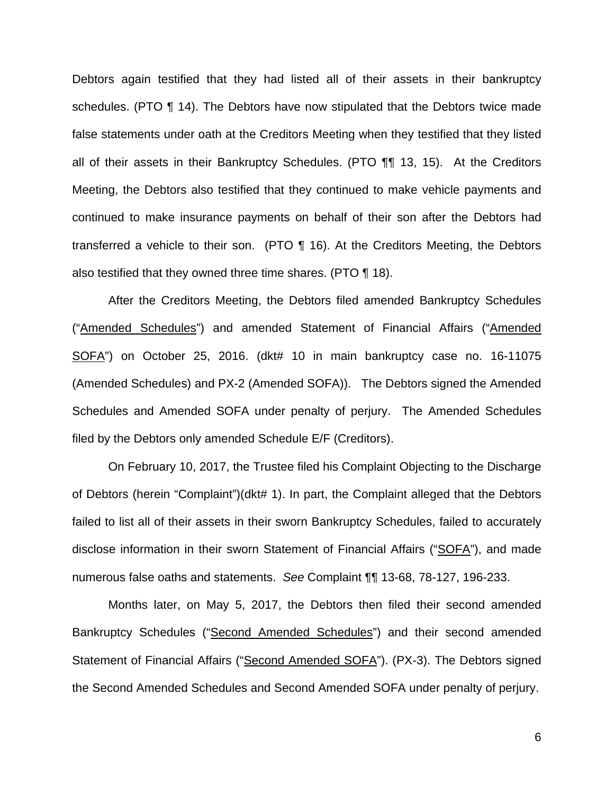Debtors again testified that they had listed all of their assets in their bankruptcy schedules. (PTO ¶ 14). The Debtors have now stipulated that the Debtors twice made false statements under oath at the Creditors Meeting when they testified that they listed all of their assets in their Bankruptcy Schedules. (PTO ¶¶ 13, 15). At the Creditors Meeting, the Debtors also testified that they continued to make vehicle payments and continued to make insurance payments on behalf of their son after the Debtors had transferred a vehicle to their son. (PTO ¶ 16). At the Creditors Meeting, the Debtors also testified that they owned three time shares. (PTO ¶ 18).

After the Creditors Meeting, the Debtors filed amended Bankruptcy Schedules ("Amended Schedules") and amended Statement of Financial Affairs ("Amended SOFA") on October 25, 2016. (dkt# 10 in main bankruptcy case no. 16-11075 (Amended Schedules) and PX-2 (Amended SOFA)). The Debtors signed the Amended Schedules and Amended SOFA under penalty of perjury. The Amended Schedules filed by the Debtors only amended Schedule E/F (Creditors).

On February 10, 2017, the Trustee filed his Complaint Objecting to the Discharge of Debtors (herein "Complaint")(dkt# 1). In part, the Complaint alleged that the Debtors failed to list all of their assets in their sworn Bankruptcy Schedules, failed to accurately disclose information in their sworn Statement of Financial Affairs ("SOFA"), and made numerous false oaths and statements. *See* Complaint ¶¶ 13-68, 78-127, 196-233.

Months later, on May 5, 2017, the Debtors then filed their second amended Bankruptcy Schedules ("Second Amended Schedules") and their second amended Statement of Financial Affairs ("Second Amended SOFA"). (PX-3). The Debtors signed the Second Amended Schedules and Second Amended SOFA under penalty of perjury.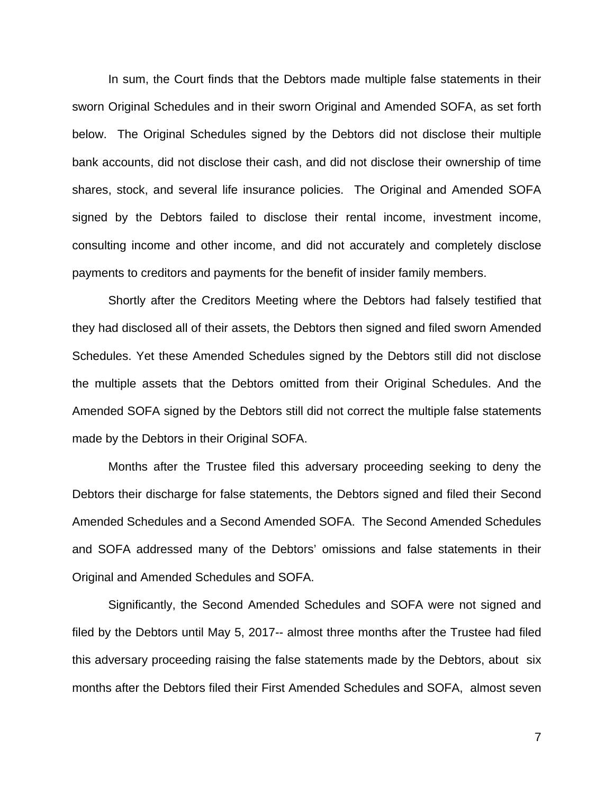In sum, the Court finds that the Debtors made multiple false statements in their sworn Original Schedules and in their sworn Original and Amended SOFA, as set forth below. The Original Schedules signed by the Debtors did not disclose their multiple bank accounts, did not disclose their cash, and did not disclose their ownership of time shares, stock, and several life insurance policies. The Original and Amended SOFA signed by the Debtors failed to disclose their rental income, investment income, consulting income and other income, and did not accurately and completely disclose payments to creditors and payments for the benefit of insider family members.

Shortly after the Creditors Meeting where the Debtors had falsely testified that they had disclosed all of their assets, the Debtors then signed and filed sworn Amended Schedules. Yet these Amended Schedules signed by the Debtors still did not disclose the multiple assets that the Debtors omitted from their Original Schedules. And the Amended SOFA signed by the Debtors still did not correct the multiple false statements made by the Debtors in their Original SOFA.

Months after the Trustee filed this adversary proceeding seeking to deny the Debtors their discharge for false statements, the Debtors signed and filed their Second Amended Schedules and a Second Amended SOFA. The Second Amended Schedules and SOFA addressed many of the Debtors' omissions and false statements in their Original and Amended Schedules and SOFA.

Significantly, the Second Amended Schedules and SOFA were not signed and filed by the Debtors until May 5, 2017-- almost three months after the Trustee had filed this adversary proceeding raising the false statements made by the Debtors, about six months after the Debtors filed their First Amended Schedules and SOFA, almost seven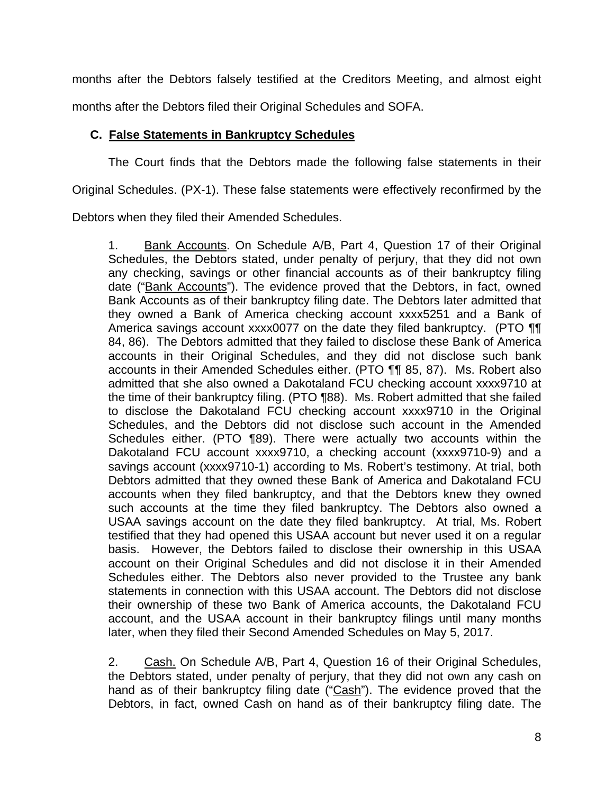months after the Debtors falsely testified at the Creditors Meeting, and almost eight months after the Debtors filed their Original Schedules and SOFA.

## **C. False Statements in Bankruptcy Schedules**

The Court finds that the Debtors made the following false statements in their

Original Schedules. (PX-1). These false statements were effectively reconfirmed by the

Debtors when they filed their Amended Schedules.

1. Bank Accounts. On Schedule A/B, Part 4, Question 17 of their Original Schedules, the Debtors stated, under penalty of perjury, that they did not own any checking, savings or other financial accounts as of their bankruptcy filing date ("Bank Accounts"). The evidence proved that the Debtors, in fact, owned Bank Accounts as of their bankruptcy filing date. The Debtors later admitted that they owned a Bank of America checking account xxxx5251 and a Bank of America savings account xxxx0077 on the date they filed bankruptcy. (PTO **¶** 84, 86). The Debtors admitted that they failed to disclose these Bank of America accounts in their Original Schedules, and they did not disclose such bank accounts in their Amended Schedules either. (PTO ¶¶ 85, 87). Ms. Robert also admitted that she also owned a Dakotaland FCU checking account xxxx9710 at the time of their bankruptcy filing. (PTO ¶88). Ms. Robert admitted that she failed to disclose the Dakotaland FCU checking account xxxx9710 in the Original Schedules, and the Debtors did not disclose such account in the Amended Schedules either. (PTO ¶89). There were actually two accounts within the Dakotaland FCU account xxxx9710, a checking account (xxxx9710-9) and a savings account (xxxx9710-1) according to Ms. Robert's testimony. At trial, both Debtors admitted that they owned these Bank of America and Dakotaland FCU accounts when they filed bankruptcy, and that the Debtors knew they owned such accounts at the time they filed bankruptcy. The Debtors also owned a USAA savings account on the date they filed bankruptcy. At trial, Ms. Robert testified that they had opened this USAA account but never used it on a regular basis. However, the Debtors failed to disclose their ownership in this USAA account on their Original Schedules and did not disclose it in their Amended Schedules either. The Debtors also never provided to the Trustee any bank statements in connection with this USAA account. The Debtors did not disclose their ownership of these two Bank of America accounts, the Dakotaland FCU account, and the USAA account in their bankruptcy filings until many months later, when they filed their Second Amended Schedules on May 5, 2017.

2. Cash. On Schedule A/B, Part 4, Question 16 of their Original Schedules, the Debtors stated, under penalty of perjury, that they did not own any cash on hand as of their bankruptcy filing date ("Cash"). The evidence proved that the Debtors, in fact, owned Cash on hand as of their bankruptcy filing date. The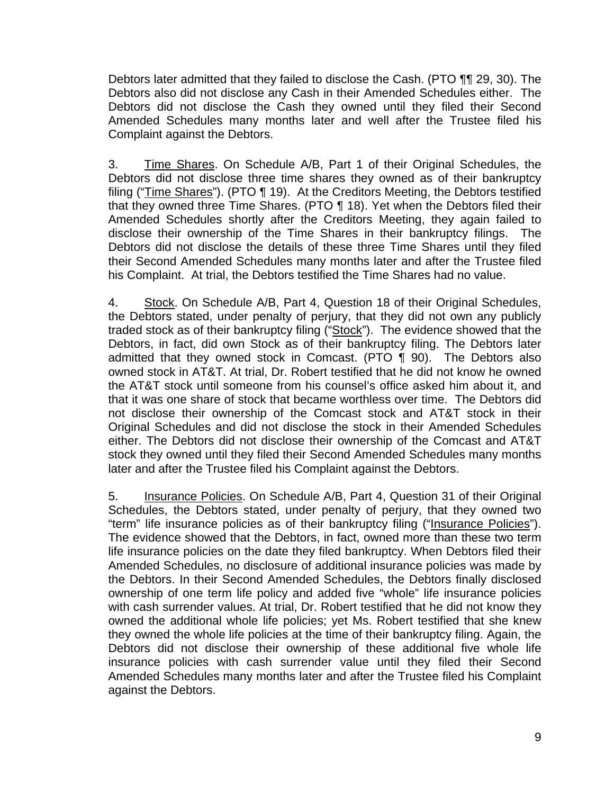Debtors later admitted that they failed to disclose the Cash. (PTO ¶¶ 29, 30). The Debtors also did not disclose any Cash in their Amended Schedules either. The Debtors did not disclose the Cash they owned until they filed their Second Amended Schedules many months later and well after the Trustee filed his Complaint against the Debtors.

3. Time Shares. On Schedule A/B, Part 1 of their Original Schedules, the Debtors did not disclose three time shares they owned as of their bankruptcy filing ("Time Shares"). (PTO ¶ 19). At the Creditors Meeting, the Debtors testified that they owned three Time Shares. (PTO ¶ 18). Yet when the Debtors filed their Amended Schedules shortly after the Creditors Meeting, they again failed to disclose their ownership of the Time Shares in their bankruptcy filings. The Debtors did not disclose the details of these three Time Shares until they filed their Second Amended Schedules many months later and after the Trustee filed his Complaint. At trial, the Debtors testified the Time Shares had no value.

4. Stock. On Schedule A/B, Part 4, Question 18 of their Original Schedules, the Debtors stated, under penalty of perjury, that they did not own any publicly traded stock as of their bankruptcy filing ("Stock"). The evidence showed that the Debtors, in fact, did own Stock as of their bankruptcy filing. The Debtors later admitted that they owned stock in Comcast. (PTO ¶ 90). The Debtors also owned stock in AT&T. At trial, Dr. Robert testified that he did not know he owned the AT&T stock until someone from his counsel's office asked him about it, and that it was one share of stock that became worthless over time. The Debtors did not disclose their ownership of the Comcast stock and AT&T stock in their Original Schedules and did not disclose the stock in their Amended Schedules either. The Debtors did not disclose their ownership of the Comcast and AT&T stock they owned until they filed their Second Amended Schedules many months later and after the Trustee filed his Complaint against the Debtors.

5. Insurance Policies. On Schedule A/B, Part 4, Question 31 of their Original Schedules, the Debtors stated, under penalty of perjury, that they owned two "term" life insurance policies as of their bankruptcy filing ("Insurance Policies"). The evidence showed that the Debtors, in fact, owned more than these two term life insurance policies on the date they filed bankruptcy. When Debtors filed their Amended Schedules, no disclosure of additional insurance policies was made by the Debtors. In their Second Amended Schedules, the Debtors finally disclosed ownership of one term life policy and added five "whole" life insurance policies with cash surrender values. At trial, Dr. Robert testified that he did not know they owned the additional whole life policies; yet Ms. Robert testified that she knew they owned the whole life policies at the time of their bankruptcy filing. Again, the Debtors did not disclose their ownership of these additional five whole life insurance policies with cash surrender value until they filed their Second Amended Schedules many months later and after the Trustee filed his Complaint against the Debtors.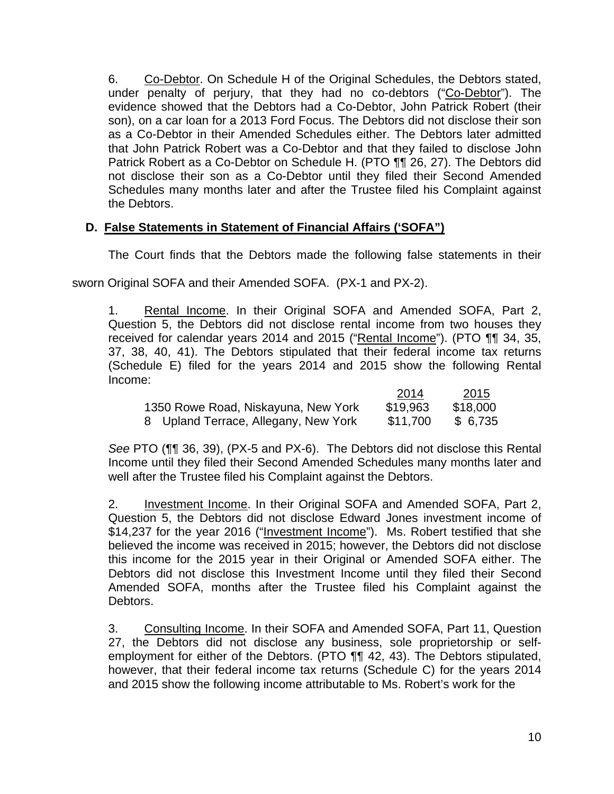6. Co-Debtor. On Schedule H of the Original Schedules, the Debtors stated, under penalty of perjury, that they had no co-debtors ("Co-Debtor"). The evidence showed that the Debtors had a Co-Debtor, John Patrick Robert (their son), on a car loan for a 2013 Ford Focus. The Debtors did not disclose their son as a Co-Debtor in their Amended Schedules either. The Debtors later admitted that John Patrick Robert was a Co-Debtor and that they failed to disclose John Patrick Robert as a Co-Debtor on Schedule H. (PTO ¶¶ 26, 27). The Debtors did not disclose their son as a Co-Debtor until they filed their Second Amended Schedules many months later and after the Trustee filed his Complaint against the Debtors.

# **D. False Statements in Statement of Financial Affairs ('SOFA")**

The Court finds that the Debtors made the following false statements in their

sworn Original SOFA and their Amended SOFA. (PX-1 and PX-2).

1. Rental Income. In their Original SOFA and Amended SOFA, Part 2, Question 5, the Debtors did not disclose rental income from two houses they received for calendar years 2014 and 2015 ("Rental Income"). (PTO ¶¶ 34, 35, 37, 38, 40, 41). The Debtors stipulated that their federal income tax returns (Schedule E) filed for the years 2014 and 2015 show the following Rental Income:

|                                      | 2014     | 2015     |
|--------------------------------------|----------|----------|
| 1350 Rowe Road, Niskayuna, New York  | \$19,963 | \$18,000 |
| 8 Upland Terrace, Allegany, New York | \$11,700 | \$ 6,735 |

*See* PTO (¶¶ 36, 39), (PX-5 and PX-6). The Debtors did not disclose this Rental Income until they filed their Second Amended Schedules many months later and well after the Trustee filed his Complaint against the Debtors.

2. Investment Income. In their Original SOFA and Amended SOFA, Part 2, Question 5, the Debtors did not disclose Edward Jones investment income of \$14,237 for the year 2016 ("Investment Income"). Ms. Robert testified that she believed the income was received in 2015; however, the Debtors did not disclose this income for the 2015 year in their Original or Amended SOFA either. The Debtors did not disclose this Investment Income until they filed their Second Amended SOFA, months after the Trustee filed his Complaint against the Debtors.

3. Consulting Income. In their SOFA and Amended SOFA, Part 11, Question 27, the Debtors did not disclose any business, sole proprietorship or selfemployment for either of the Debtors. (PTO ¶¶ 42, 43). The Debtors stipulated, however, that their federal income tax returns (Schedule C) for the years 2014 and 2015 show the following income attributable to Ms. Robert's work for the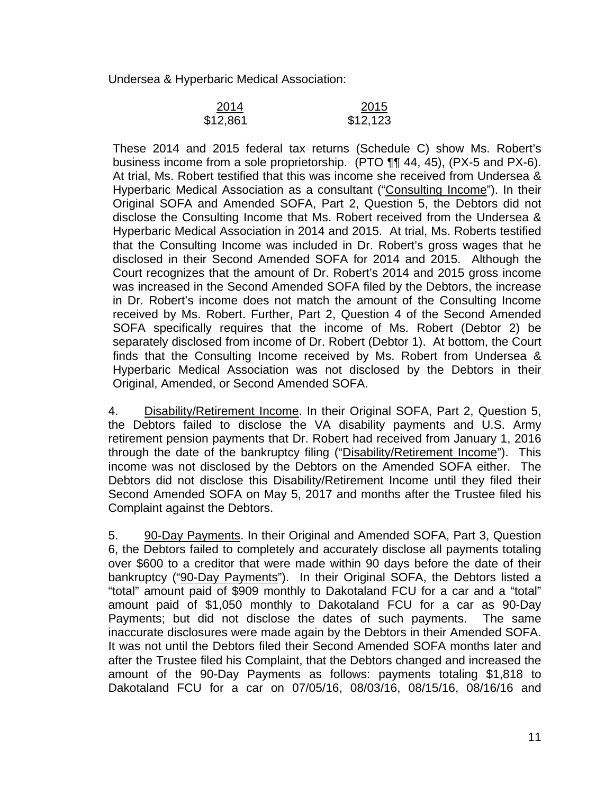Undersea & Hyperbaric Medical Association:

| 2014     | 2015     |
|----------|----------|
| \$12,861 | \$12,123 |

These 2014 and 2015 federal tax returns (Schedule C) show Ms. Robert's business income from a sole proprietorship. (PTO ¶¶ 44, 45), (PX-5 and PX-6). At trial, Ms. Robert testified that this was income she received from Undersea & Hyperbaric Medical Association as a consultant ("Consulting Income"). In their Original SOFA and Amended SOFA, Part 2, Question 5, the Debtors did not disclose the Consulting Income that Ms. Robert received from the Undersea & Hyperbaric Medical Association in 2014 and 2015. At trial, Ms. Roberts testified that the Consulting Income was included in Dr. Robert's gross wages that he disclosed in their Second Amended SOFA for 2014 and 2015. Although the Court recognizes that the amount of Dr. Robert's 2014 and 2015 gross income was increased in the Second Amended SOFA filed by the Debtors, the increase in Dr. Robert's income does not match the amount of the Consulting Income received by Ms. Robert. Further, Part 2, Question 4 of the Second Amended SOFA specifically requires that the income of Ms. Robert (Debtor 2) be separately disclosed from income of Dr. Robert (Debtor 1). At bottom, the Court finds that the Consulting Income received by Ms. Robert from Undersea & Hyperbaric Medical Association was not disclosed by the Debtors in their Original, Amended, or Second Amended SOFA.

4. Disability/Retirement Income. In their Original SOFA, Part 2, Question 5, the Debtors failed to disclose the VA disability payments and U.S. Army retirement pension payments that Dr. Robert had received from January 1, 2016 through the date of the bankruptcy filing ("Disability/Retirement Income"). This income was not disclosed by the Debtors on the Amended SOFA either. The Debtors did not disclose this Disability/Retirement Income until they filed their Second Amended SOFA on May 5, 2017 and months after the Trustee filed his Complaint against the Debtors.

5. 90-Day Payments. In their Original and Amended SOFA, Part 3, Question 6, the Debtors failed to completely and accurately disclose all payments totaling over \$600 to a creditor that were made within 90 days before the date of their bankruptcy ("90-Day Payments"). In their Original SOFA, the Debtors listed a "total" amount paid of \$909 monthly to Dakotaland FCU for a car and a "total" amount paid of \$1,050 monthly to Dakotaland FCU for a car as 90-Day Payments; but did not disclose the dates of such payments. The same inaccurate disclosures were made again by the Debtors in their Amended SOFA. It was not until the Debtors filed their Second Amended SOFA months later and after the Trustee filed his Complaint, that the Debtors changed and increased the amount of the 90-Day Payments as follows: payments totaling \$1,818 to Dakotaland FCU for a car on 07/05/16, 08/03/16, 08/15/16, 08/16/16 and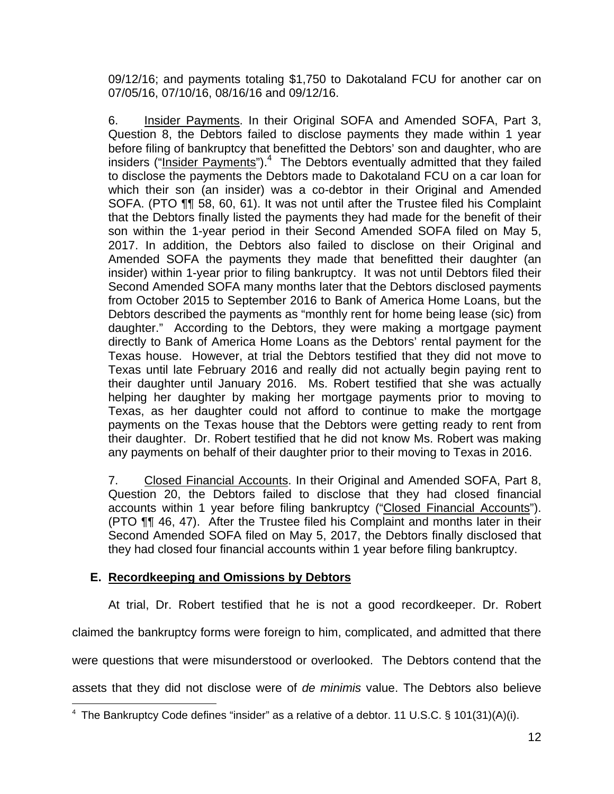09/12/16; and payments totaling \$1,750 to Dakotaland FCU for another car on 07/05/16, 07/10/16, 08/16/16 and 09/12/16.

6. Insider Payments. In their Original SOFA and Amended SOFA, Part 3, Question 8, the Debtors failed to disclose payments they made within 1 year before filing of bankruptcy that benefitted the Debtors' son and daughter, who are insiders ("Insider Payments").<sup>4</sup> The Debtors eventually admitted that they failed to disclose the payments the Debtors made to Dakotaland FCU on a car loan for which their son (an insider) was a co-debtor in their Original and Amended SOFA. (PTO ¶¶ 58, 60, 61). It was not until after the Trustee filed his Complaint that the Debtors finally listed the payments they had made for the benefit of their son within the 1-year period in their Second Amended SOFA filed on May 5, 2017. In addition, the Debtors also failed to disclose on their Original and Amended SOFA the payments they made that benefitted their daughter (an insider) within 1-year prior to filing bankruptcy. It was not until Debtors filed their Second Amended SOFA many months later that the Debtors disclosed payments from October 2015 to September 2016 to Bank of America Home Loans, but the Debtors described the payments as "monthly rent for home being lease (sic) from daughter." According to the Debtors, they were making a mortgage payment directly to Bank of America Home Loans as the Debtors' rental payment for the Texas house. However, at trial the Debtors testified that they did not move to Texas until late February 2016 and really did not actually begin paying rent to their daughter until January 2016. Ms. Robert testified that she was actually helping her daughter by making her mortgage payments prior to moving to Texas, as her daughter could not afford to continue to make the mortgage payments on the Texas house that the Debtors were getting ready to rent from their daughter. Dr. Robert testified that he did not know Ms. Robert was making any payments on behalf of their daughter prior to their moving to Texas in 2016.

7. Closed Financial Accounts. In their Original and Amended SOFA, Part 8, Question 20, the Debtors failed to disclose that they had closed financial accounts within 1 year before filing bankruptcy ("Closed Financial Accounts"). (PTO ¶¶ 46, 47). After the Trustee filed his Complaint and months later in their Second Amended SOFA filed on May 5, 2017, the Debtors finally disclosed that they had closed four financial accounts within 1 year before filing bankruptcy.

# **E. Recordkeeping and Omissions by Debtors**

At trial, Dr. Robert testified that he is not a good recordkeeper. Dr. Robert claimed the bankruptcy forms were foreign to him, complicated, and admitted that there were questions that were misunderstood or overlooked. The Debtors contend that the assets that they did not disclose were of *de minimis* value. The Debtors also believe  $\overline{a}$ 

<sup>&</sup>lt;sup>4</sup> The Bankruptcy Code defines "insider" as a relative of a debtor. 11 U.S.C. § 101(31)(A)(i).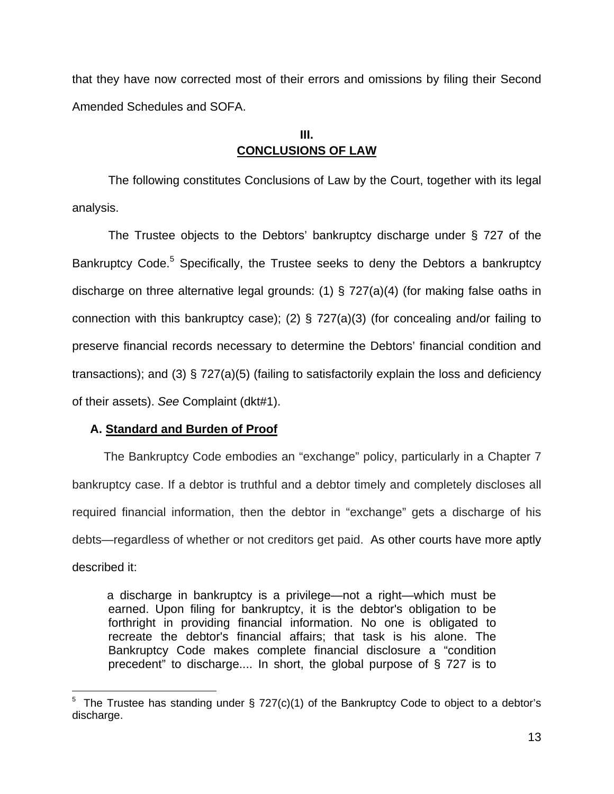that they have now corrected most of their errors and omissions by filing their Second Amended Schedules and SOFA.

## **III. CONCLUSIONS OF LAW**

The following constitutes Conclusions of Law by the Court, together with its legal analysis.

 The Trustee objects to the Debtors' bankruptcy discharge under § 727 of the Bankruptcy Code.<sup>5</sup> Specifically, the Trustee seeks to deny the Debtors a bankruptcy discharge on three alternative legal grounds: (1) § 727(a)(4) (for making false oaths in connection with this bankruptcy case); (2) § 727(a)(3) (for concealing and/or failing to preserve financial records necessary to determine the Debtors' financial condition and transactions); and (3) § 727(a)(5) (failing to satisfactorily explain the loss and deficiency of their assets). *See* Complaint (dkt#1).

# **A. Standard and Burden of Proof**

The Bankruptcy Code embodies an "exchange" policy, particularly in a Chapter 7 bankruptcy case. If a debtor is truthful and a debtor timely and completely discloses all required financial information, then the debtor in "exchange" gets a discharge of his debts—regardless of whether or not creditors get paid. As other courts have more aptly described it:

 a discharge in bankruptcy is a privilege—not a right—which must be earned. Upon filing for bankruptcy, it is the debtor's obligation to be forthright in providing financial information. No one is obligated to recreate the debtor's financial affairs; that task is his alone. The Bankruptcy Code makes complete financial disclosure a "condition precedent" to discharge.... In short, the global purpose of § 727 is to

 5 The Trustee has standing under § 727(c)(1) of the Bankruptcy Code to object to a debtor's discharge.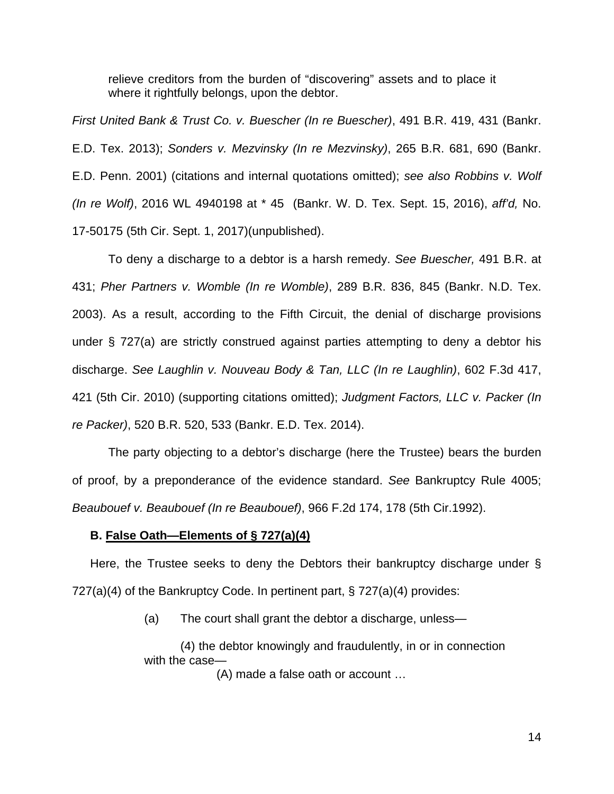relieve creditors from the burden of "discovering" assets and to place it where it rightfully belongs, upon the debtor.

*First United Bank & Trust Co. v. Buescher (In re Buescher)*, 491 B.R. 419, 431 (Bankr. E.D. Tex. 2013); *Sonders v. Mezvinsky (In re Mezvinsky)*, 265 B.R. 681, 690 (Bankr. E.D. Penn. 2001) (citations and internal quotations omitted); *see also Robbins v. Wolf (In re Wolf)*, 2016 WL 4940198 at \* 45 (Bankr. W. D. Tex. Sept. 15, 2016), *aff'd,* No. 17-50175 (5th Cir. Sept. 1, 2017)(unpublished).

 To deny a discharge to a debtor is a harsh remedy. *See Buescher,* 491 B.R. at 431; *Pher Partners v. Womble (In re Womble)*, 289 B.R. 836, 845 (Bankr. N.D. Tex. 2003). As a result, according to the Fifth Circuit, the denial of discharge provisions under § 727(a) are strictly construed against parties attempting to deny a debtor his discharge. *See Laughlin v. Nouveau Body & Tan, LLC (In re Laughlin)*, 602 F.3d 417, 421 (5th Cir. 2010) (supporting citations omitted); *Judgment Factors, LLC v. Packer (In re Packer)*, 520 B.R. 520, 533 (Bankr. E.D. Tex. 2014).

The party objecting to a debtor's discharge (here the Trustee) bears the burden of proof, by a preponderance of the evidence standard. *See* Bankruptcy Rule 4005; *Beaubouef v. Beaubouef (In re Beaubouef)*, 966 F.2d 174, 178 (5th Cir.1992).

## **B. False Oath—Elements of § 727(a)(4)**

Here, the Trustee seeks to deny the Debtors their bankruptcy discharge under § 727(a)(4) of the Bankruptcy Code. In pertinent part, § 727(a)(4) provides:

(a) The court shall grant the debtor a discharge, unless—

(4) the debtor knowingly and fraudulently, in or in connection with the case—

(A) made a false oath or account …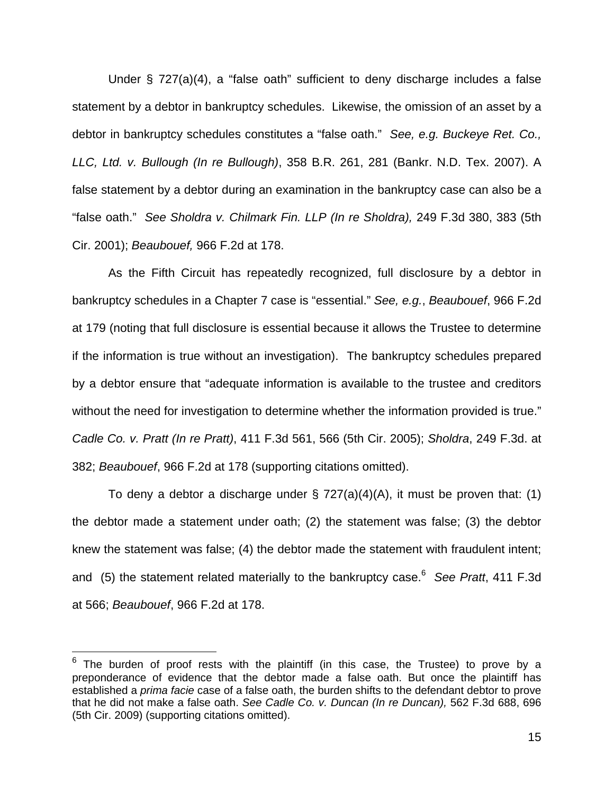Under § 727(a)(4), a "false oath" sufficient to deny discharge includes a false statement by a debtor in bankruptcy schedules. Likewise, the omission of an asset by a debtor in bankruptcy schedules constitutes a "false oath." *See, e.g. Buckeye Ret. Co., LLC, Ltd. v. Bullough (In re Bullough)*, 358 B.R. 261, 281 (Bankr. N.D. Tex. 2007). A false statement by a debtor during an examination in the bankruptcy case can also be a "false oath." *See Sholdra v. Chilmark Fin. LLP (In re Sholdra),* 249 F.3d 380, 383 (5th Cir. 2001); *Beaubouef,* 966 F.2d at 178.

As the Fifth Circuit has repeatedly recognized, full disclosure by a debtor in bankruptcy schedules in a Chapter 7 case is "essential." *See, e.g.*, *Beaubouef*, 966 F.2d at 179 (noting that full disclosure is essential because it allows the Trustee to determine if the information is true without an investigation). The bankruptcy schedules prepared by a debtor ensure that "adequate information is available to the trustee and creditors without the need for investigation to determine whether the information provided is true." *Cadle Co. v. Pratt (In re Pratt)*, 411 F.3d 561, 566 (5th Cir. 2005); *Sholdra*, 249 F.3d. at 382; *Beaubouef*, 966 F.2d at 178 (supporting citations omitted).

To deny a debtor a discharge under  $\S$  727(a)(4)(A), it must be proven that: (1) the debtor made a statement under oath; (2) the statement was false; (3) the debtor knew the statement was false; (4) the debtor made the statement with fraudulent intent; and (5) the statement related materially to the bankruptcy case.<sup>6</sup> See Pratt, 411 F.3d at 566; *Beaubouef*, 966 F.2d at 178.

 $\overline{a}$ 

 $^6$  The burden of proof rests with the plaintiff (in this case, the Trustee) to prove by a preponderance of evidence that the debtor made a false oath. But once the plaintiff has established a *prima facie* case of a false oath, the burden shifts to the defendant debtor to prove that he did not make a false oath. *See Cadle Co. v. Duncan (In re Duncan),* 562 F.3d 688, 696 (5th Cir. 2009) (supporting citations omitted).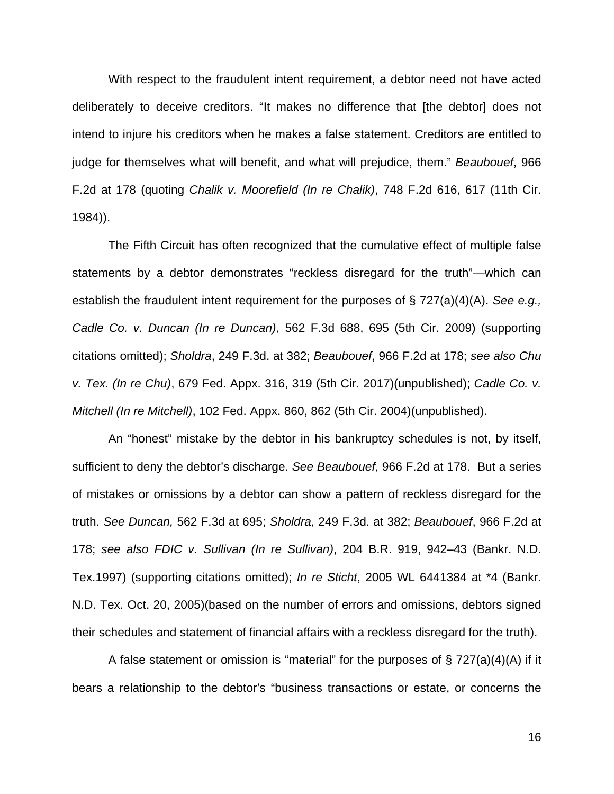With respect to the fraudulent intent requirement, a debtor need not have acted deliberately to deceive creditors. "It makes no difference that [the debtor] does not intend to injure his creditors when he makes a false statement. Creditors are entitled to judge for themselves what will benefit, and what will prejudice, them." *Beaubouef*, 966 F.2d at 178 (quoting *Chalik v. Moorefield (In re Chalik)*, 748 F.2d 616, 617 (11th Cir. 1984)).

The Fifth Circuit has often recognized that the cumulative effect of multiple false statements by a debtor demonstrates "reckless disregard for the truth"—which can establish the fraudulent intent requirement for the purposes of § 727(a)(4)(A). *See e.g., Cadle Co. v. Duncan (In re Duncan)*, 562 F.3d 688, 695 (5th Cir. 2009) (supporting citations omitted); *Sholdra*, 249 F.3d. at 382; *Beaubouef*, 966 F.2d at 178; *see also Chu v. Tex. (In re Chu)*, 679 Fed. Appx. 316, 319 (5th Cir. 2017)(unpublished); *Cadle Co. v. Mitchell (In re Mitchell)*, 102 Fed. Appx. 860, 862 (5th Cir. 2004)(unpublished).

An "honest" mistake by the debtor in his bankruptcy schedules is not, by itself, sufficient to deny the debtor's discharge. *See Beaubouef*, 966 F.2d at 178. But a series of mistakes or omissions by a debtor can show a pattern of reckless disregard for the truth. *See Duncan,* 562 F.3d at 695; *Sholdra*, 249 F.3d. at 382; *Beaubouef*, 966 F.2d at 178; *see also FDIC v. Sullivan (In re Sullivan)*, 204 B.R. 919, 942–43 (Bankr. N.D. Tex.1997) (supporting citations omitted); *In re Sticht*, 2005 WL 6441384 at \*4 (Bankr. N.D. Tex. Oct. 20, 2005)(based on the number of errors and omissions, debtors signed their schedules and statement of financial affairs with a reckless disregard for the truth).

A false statement or omission is "material" for the purposes of  $\S 727(a)(4)(A)$  if it bears a relationship to the debtor's "business transactions or estate, or concerns the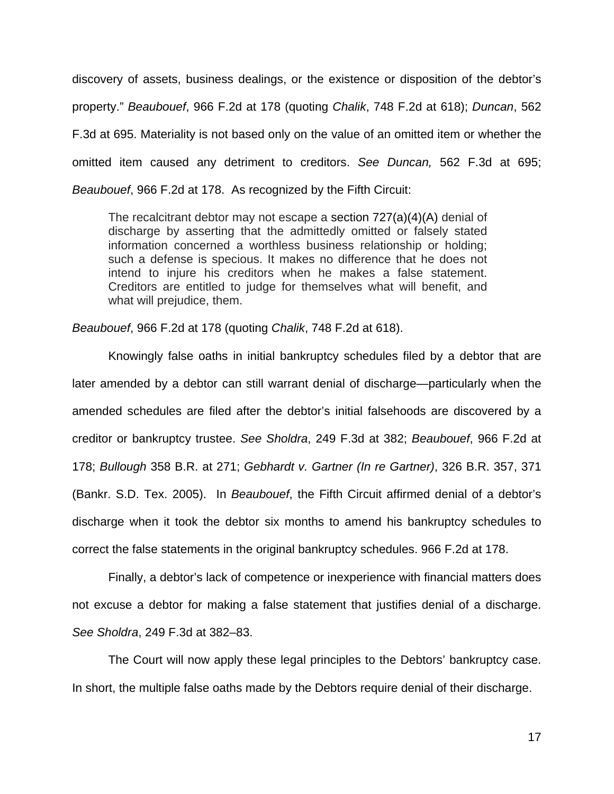discovery of assets, business dealings, or the existence or disposition of the debtor's property." *Beaubouef*, 966 F.2d at 178 (quoting *Chalik*, 748 F.2d at 618); *Duncan*, 562 F.3d at 695. Materiality is not based only on the value of an omitted item or whether the omitted item caused any detriment to creditors. *See Duncan,* 562 F.3d at 695; *Beaubouef*, 966 F.2d at 178. As recognized by the Fifth Circuit:

The recalcitrant debtor may not escape a section 727(a)(4)(A) denial of discharge by asserting that the admittedly omitted or falsely stated information concerned a worthless business relationship or holding; such a defense is specious. It makes no difference that he does not intend to injure his creditors when he makes a false statement. Creditors are entitled to judge for themselves what will benefit, and what will prejudice, them.

*Beaubouef*, 966 F.2d at 178 (quoting *Chalik*, 748 F.2d at 618).

Knowingly false oaths in initial bankruptcy schedules filed by a debtor that are later amended by a debtor can still warrant denial of discharge—particularly when the amended schedules are filed after the debtor's initial falsehoods are discovered by a creditor or bankruptcy trustee. *See Sholdra*, 249 F.3d at 382; *Beaubouef*, 966 F.2d at 178; *Bullough* 358 B.R. at 271; *Gebhardt v. Gartner (In re Gartner)*, 326 B.R. 357, 371 (Bankr. S.D. Tex. 2005). In *Beaubouef*, the Fifth Circuit affirmed denial of a debtor's discharge when it took the debtor six months to amend his bankruptcy schedules to correct the false statements in the original bankruptcy schedules. 966 F.2d at 178.

Finally, a debtor's lack of competence or inexperience with financial matters does not excuse a debtor for making a false statement that justifies denial of a discharge. *See Sholdra*, 249 F.3d at 382–83.

The Court will now apply these legal principles to the Debtors' bankruptcy case. In short, the multiple false oaths made by the Debtors require denial of their discharge.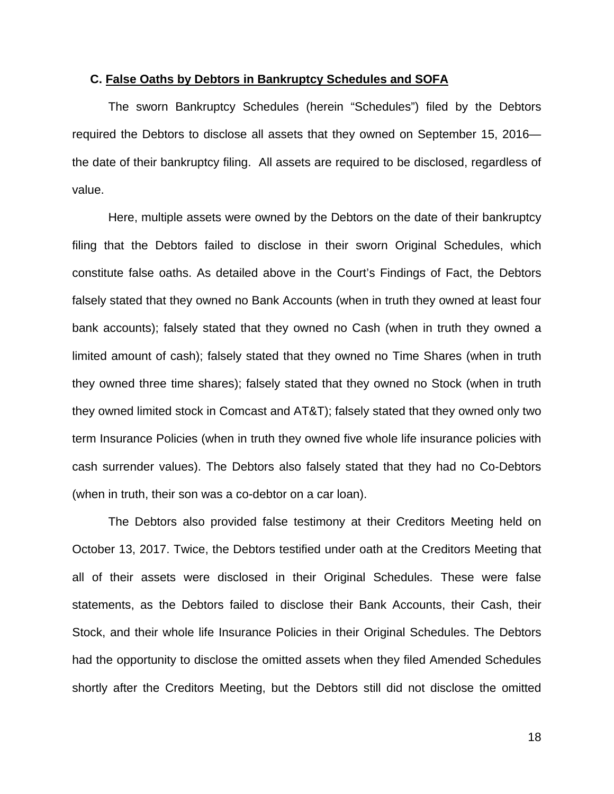#### **C. False Oaths by Debtors in Bankruptcy Schedules and SOFA**

The sworn Bankruptcy Schedules (herein "Schedules") filed by the Debtors required the Debtors to disclose all assets that they owned on September 15, 2016 the date of their bankruptcy filing. All assets are required to be disclosed, regardless of value.

Here, multiple assets were owned by the Debtors on the date of their bankruptcy filing that the Debtors failed to disclose in their sworn Original Schedules, which constitute false oaths. As detailed above in the Court's Findings of Fact, the Debtors falsely stated that they owned no Bank Accounts (when in truth they owned at least four bank accounts); falsely stated that they owned no Cash (when in truth they owned a limited amount of cash); falsely stated that they owned no Time Shares (when in truth they owned three time shares); falsely stated that they owned no Stock (when in truth they owned limited stock in Comcast and AT&T); falsely stated that they owned only two term Insurance Policies (when in truth they owned five whole life insurance policies with cash surrender values). The Debtors also falsely stated that they had no Co-Debtors (when in truth, their son was a co-debtor on a car loan).

The Debtors also provided false testimony at their Creditors Meeting held on October 13, 2017. Twice, the Debtors testified under oath at the Creditors Meeting that all of their assets were disclosed in their Original Schedules. These were false statements, as the Debtors failed to disclose their Bank Accounts, their Cash, their Stock, and their whole life Insurance Policies in their Original Schedules. The Debtors had the opportunity to disclose the omitted assets when they filed Amended Schedules shortly after the Creditors Meeting, but the Debtors still did not disclose the omitted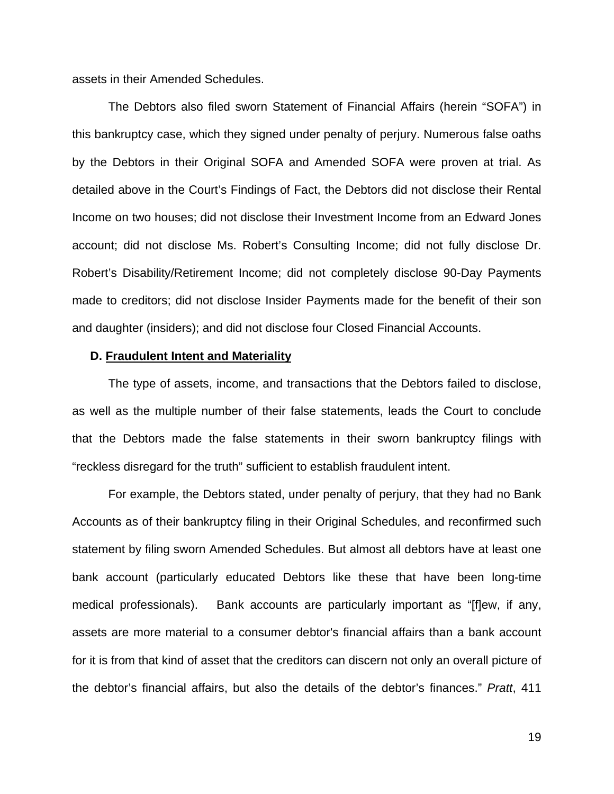assets in their Amended Schedules.

The Debtors also filed sworn Statement of Financial Affairs (herein "SOFA") in this bankruptcy case, which they signed under penalty of perjury. Numerous false oaths by the Debtors in their Original SOFA and Amended SOFA were proven at trial. As detailed above in the Court's Findings of Fact, the Debtors did not disclose their Rental Income on two houses; did not disclose their Investment Income from an Edward Jones account; did not disclose Ms. Robert's Consulting Income; did not fully disclose Dr. Robert's Disability/Retirement Income; did not completely disclose 90-Day Payments made to creditors; did not disclose Insider Payments made for the benefit of their son and daughter (insiders); and did not disclose four Closed Financial Accounts.

#### **D. Fraudulent Intent and Materiality**

The type of assets, income, and transactions that the Debtors failed to disclose, as well as the multiple number of their false statements, leads the Court to conclude that the Debtors made the false statements in their sworn bankruptcy filings with "reckless disregard for the truth" sufficient to establish fraudulent intent.

For example, the Debtors stated, under penalty of perjury, that they had no Bank Accounts as of their bankruptcy filing in their Original Schedules, and reconfirmed such statement by filing sworn Amended Schedules. But almost all debtors have at least one bank account (particularly educated Debtors like these that have been long-time medical professionals). Bank accounts are particularly important as "[f]ew, if any, assets are more material to a consumer debtor's financial affairs than a bank account for it is from that kind of asset that the creditors can discern not only an overall picture of the debtor's financial affairs, but also the details of the debtor's finances." *Pratt*, 411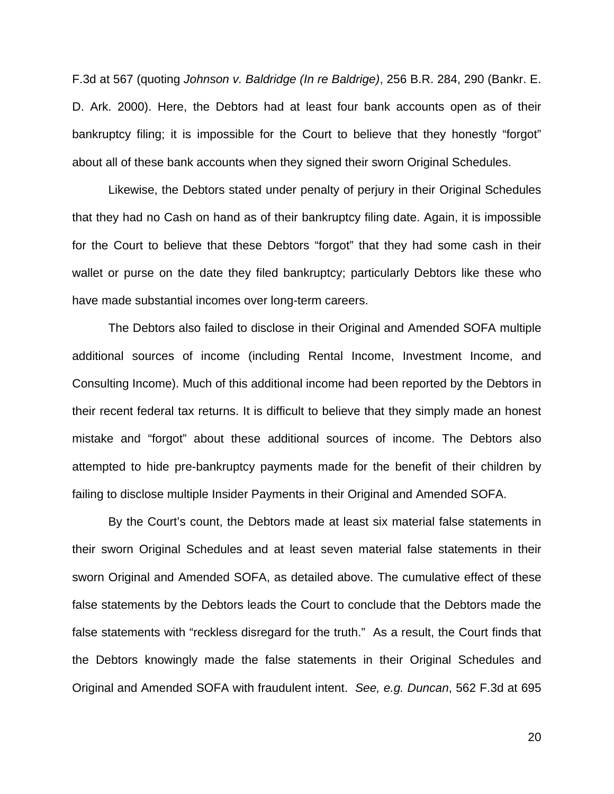F.3d at 567 (quoting *Johnson v. Baldridge (In re Baldrige)*, 256 B.R. 284, 290 (Bankr. E. D. Ark. 2000). Here, the Debtors had at least four bank accounts open as of their bankruptcy filing; it is impossible for the Court to believe that they honestly "forgot" about all of these bank accounts when they signed their sworn Original Schedules.

Likewise, the Debtors stated under penalty of perjury in their Original Schedules that they had no Cash on hand as of their bankruptcy filing date. Again, it is impossible for the Court to believe that these Debtors "forgot" that they had some cash in their wallet or purse on the date they filed bankruptcy; particularly Debtors like these who have made substantial incomes over long-term careers.

The Debtors also failed to disclose in their Original and Amended SOFA multiple additional sources of income (including Rental Income, Investment Income, and Consulting Income). Much of this additional income had been reported by the Debtors in their recent federal tax returns. It is difficult to believe that they simply made an honest mistake and "forgot" about these additional sources of income. The Debtors also attempted to hide pre-bankruptcy payments made for the benefit of their children by failing to disclose multiple Insider Payments in their Original and Amended SOFA.

By the Court's count, the Debtors made at least six material false statements in their sworn Original Schedules and at least seven material false statements in their sworn Original and Amended SOFA, as detailed above. The cumulative effect of these false statements by the Debtors leads the Court to conclude that the Debtors made the false statements with "reckless disregard for the truth." As a result, the Court finds that the Debtors knowingly made the false statements in their Original Schedules and Original and Amended SOFA with fraudulent intent. *See, e.g. Duncan*, 562 F.3d at 695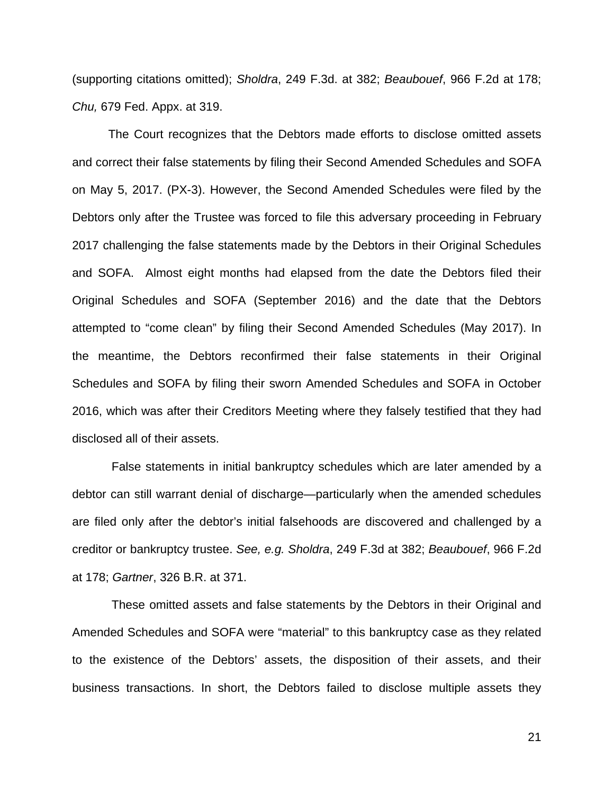(supporting citations omitted); *Sholdra*, 249 F.3d. at 382; *Beaubouef*, 966 F.2d at 178; *Chu,* 679 Fed. Appx. at 319.

The Court recognizes that the Debtors made efforts to disclose omitted assets and correct their false statements by filing their Second Amended Schedules and SOFA on May 5, 2017. (PX-3). However, the Second Amended Schedules were filed by the Debtors only after the Trustee was forced to file this adversary proceeding in February 2017 challenging the false statements made by the Debtors in their Original Schedules and SOFA. Almost eight months had elapsed from the date the Debtors filed their Original Schedules and SOFA (September 2016) and the date that the Debtors attempted to "come clean" by filing their Second Amended Schedules (May 2017). In the meantime, the Debtors reconfirmed their false statements in their Original Schedules and SOFA by filing their sworn Amended Schedules and SOFA in October 2016, which was after their Creditors Meeting where they falsely testified that they had disclosed all of their assets.

 False statements in initial bankruptcy schedules which are later amended by a debtor can still warrant denial of discharge—particularly when the amended schedules are filed only after the debtor's initial falsehoods are discovered and challenged by a creditor or bankruptcy trustee. *See, e.g. Sholdra*, 249 F.3d at 382; *Beaubouef*, 966 F.2d at 178; *Gartner*, 326 B.R. at 371.

 These omitted assets and false statements by the Debtors in their Original and Amended Schedules and SOFA were "material" to this bankruptcy case as they related to the existence of the Debtors' assets, the disposition of their assets, and their business transactions. In short, the Debtors failed to disclose multiple assets they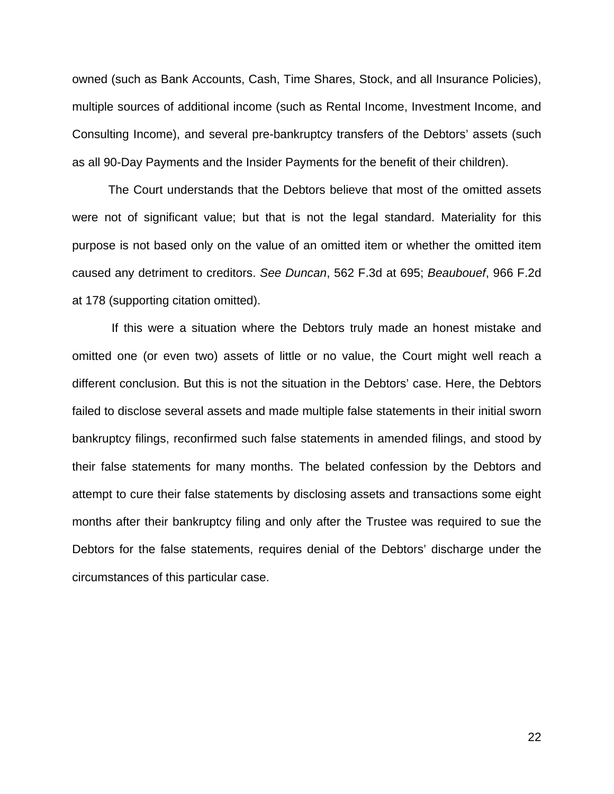owned (such as Bank Accounts, Cash, Time Shares, Stock, and all Insurance Policies), multiple sources of additional income (such as Rental Income, Investment Income, and Consulting Income), and several pre-bankruptcy transfers of the Debtors' assets (such as all 90-Day Payments and the Insider Payments for the benefit of their children).

The Court understands that the Debtors believe that most of the omitted assets were not of significant value; but that is not the legal standard. Materiality for this purpose is not based only on the value of an omitted item or whether the omitted item caused any detriment to creditors. *See Duncan*, 562 F.3d at 695; *Beaubouef*, 966 F.2d at 178 (supporting citation omitted).

 If this were a situation where the Debtors truly made an honest mistake and omitted one (or even two) assets of little or no value, the Court might well reach a different conclusion. But this is not the situation in the Debtors' case. Here, the Debtors failed to disclose several assets and made multiple false statements in their initial sworn bankruptcy filings, reconfirmed such false statements in amended filings, and stood by their false statements for many months. The belated confession by the Debtors and attempt to cure their false statements by disclosing assets and transactions some eight months after their bankruptcy filing and only after the Trustee was required to sue the Debtors for the false statements, requires denial of the Debtors' discharge under the circumstances of this particular case.